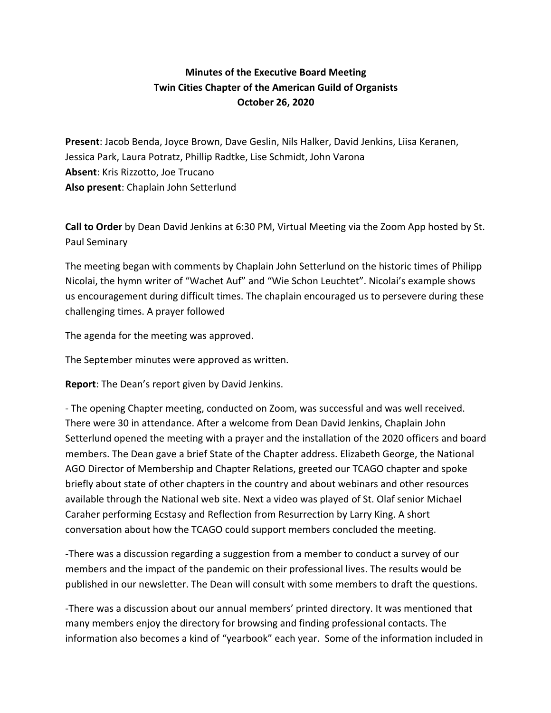## **Minutes of the Executive Board Meeting Twin Cities Chapter of the American Guild of Organists October 26, 2020**

**Present**: Jacob Benda, Joyce Brown, Dave Geslin, Nils Halker, David Jenkins, Liisa Keranen, Jessica Park, Laura Potratz, Phillip Radtke, Lise Schmidt, John Varona **Absent**: Kris Rizzotto, Joe Trucano **Also present**: Chaplain John Setterlund

**Call to Order** by Dean David Jenkins at 6:30 PM, Virtual Meeting via the Zoom App hosted by St. Paul Seminary

The meeting began with comments by Chaplain John Setterlund on the historic times of Philipp Nicolai, the hymn writer of "Wachet Auf" and "Wie Schon Leuchtet". Nicolai's example shows us encouragement during difficult times. The chaplain encouraged us to persevere during these challenging times. A prayer followed

The agenda for the meeting was approved.

The September minutes were approved as written.

**Report**: The Dean's report given by David Jenkins.

- The opening Chapter meeting, conducted on Zoom, was successful and was well received. There were 30 in attendance. After a welcome from Dean David Jenkins, Chaplain John Setterlund opened the meeting with a prayer and the installation of the 2020 officers and board members. The Dean gave a brief State of the Chapter address. Elizabeth George, the National AGO Director of Membership and Chapter Relations, greeted our TCAGO chapter and spoke briefly about state of other chapters in the country and about webinars and other resources available through the National web site. Next a video was played of St. Olaf senior Michael Caraher performing Ecstasy and Reflection from Resurrection by Larry King. A short conversation about how the TCAGO could support members concluded the meeting.

-There was a discussion regarding a suggestion from a member to conduct a survey of our members and the impact of the pandemic on their professional lives. The results would be published in our newsletter. The Dean will consult with some members to draft the questions.

-There was a discussion about our annual members' printed directory. It was mentioned that many members enjoy the directory for browsing and finding professional contacts. The information also becomes a kind of "yearbook" each year. Some of the information included in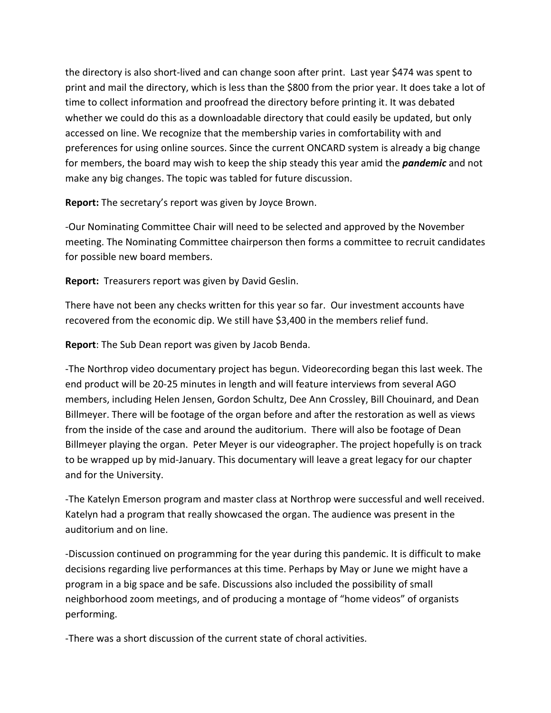the directory is also short-lived and can change soon after print. Last year \$474 was spent to print and mail the directory, which is less than the \$800 from the prior year. It does take a lot of time to collect information and proofread the directory before printing it. It was debated whether we could do this as a downloadable directory that could easily be updated, but only accessed on line. We recognize that the membership varies in comfortability with and preferences for using online sources. Since the current ONCARD system is already a big change for members, the board may wish to keep the ship steady this year amid the *pandemic* and not make any big changes. The topic was tabled for future discussion.

**Report:** The secretary's report was given by Joyce Brown.

-Our Nominating Committee Chair will need to be selected and approved by the November meeting. The Nominating Committee chairperson then forms a committee to recruit candidates for possible new board members.

**Report:** Treasurers report was given by David Geslin.

There have not been any checks written for this year so far. Our investment accounts have recovered from the economic dip. We still have \$3,400 in the members relief fund.

**Report**: The Sub Dean report was given by Jacob Benda.

-The Northrop video documentary project has begun. Videorecording began this last week. The end product will be 20-25 minutes in length and will feature interviews from several AGO members, including Helen Jensen, Gordon Schultz, Dee Ann Crossley, Bill Chouinard, and Dean Billmeyer. There will be footage of the organ before and after the restoration as well as views from the inside of the case and around the auditorium. There will also be footage of Dean Billmeyer playing the organ. Peter Meyer is our videographer. The project hopefully is on track to be wrapped up by mid-January. This documentary will leave a great legacy for our chapter and for the University.

-The Katelyn Emerson program and master class at Northrop were successful and well received. Katelyn had a program that really showcased the organ. The audience was present in the auditorium and on line.

-Discussion continued on programming for the year during this pandemic. It is difficult to make decisions regarding live performances at this time. Perhaps by May or June we might have a program in a big space and be safe. Discussions also included the possibility of small neighborhood zoom meetings, and of producing a montage of "home videos" of organists performing.

-There was a short discussion of the current state of choral activities.